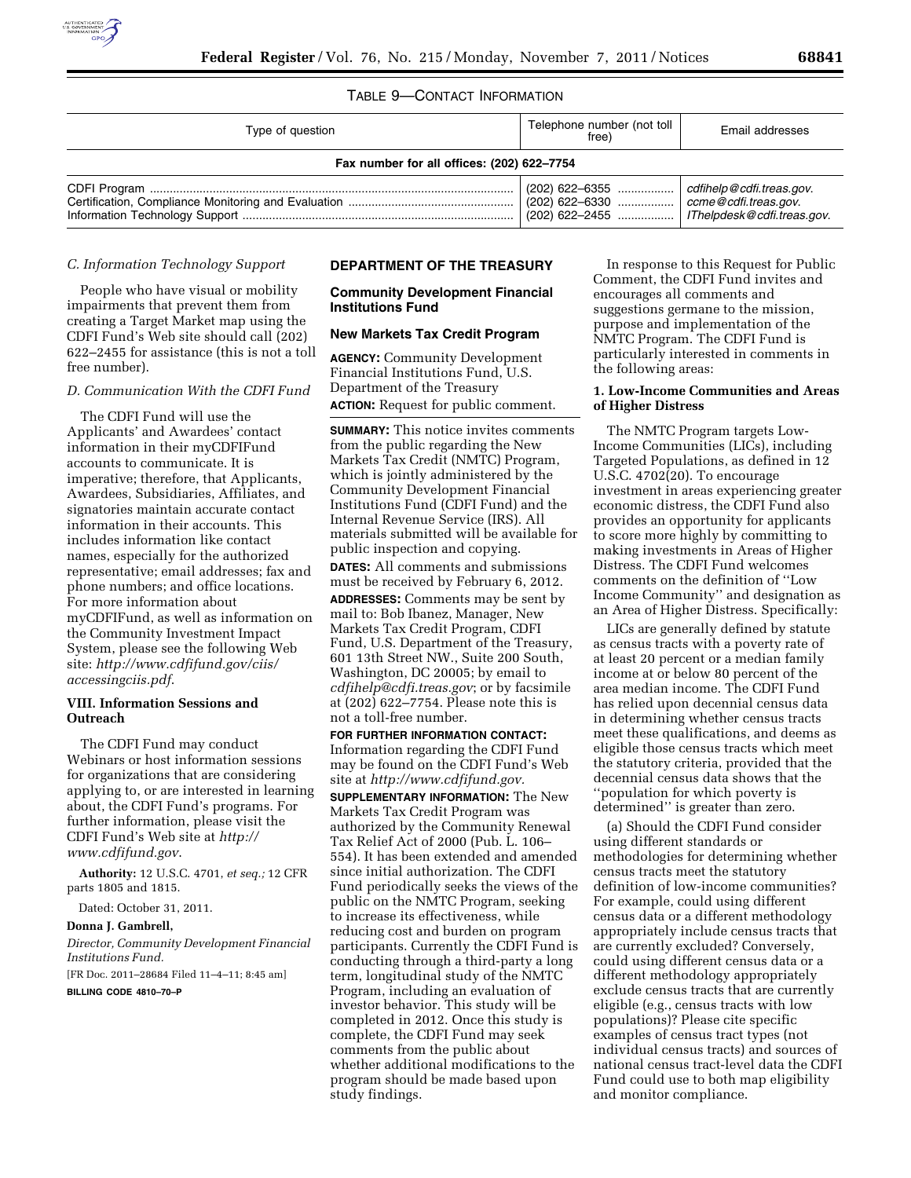# TABLE 9—CONTACT INFORMATION

| Type of question                           | Telephone number (not toll<br>free)                             | Email addresses          |
|--------------------------------------------|-----------------------------------------------------------------|--------------------------|
| Fax number for all offices: (202) 622-7754 |                                                                 |                          |
|                                            | $(202)$ 622–6355<br>$(202)$ 622–2455  Thelpdesk@cdfi.treas.gov. | cdfihelp@cdfi.treas.gov. |

## *C. Information Technology Support*

People who have visual or mobility impairments that prevent them from creating a Target Market map using the CDFI Fund's Web site should call (202) 622–2455 for assistance (this is not a toll free number).

### *D. Communication With the CDFI Fund*

The CDFI Fund will use the Applicants' and Awardees' contact information in their myCDFIFund accounts to communicate. It is imperative; therefore, that Applicants, Awardees, Subsidiaries, Affiliates, and signatories maintain accurate contact information in their accounts. This includes information like contact names, especially for the authorized representative; email addresses; fax and phone numbers; and office locations. For more information about myCDFIFund, as well as information on the Community Investment Impact System, please see the following Web site: *[http://www.cdfifund.gov/ciis/](http://www.cdfifund.gov/ciis/accessingciis.pdf) [accessingciis.pdf](http://www.cdfifund.gov/ciis/accessingciis.pdf)*.

### **VIII. Information Sessions and Outreach**

The CDFI Fund may conduct Webinars or host information sessions for organizations that are considering applying to, or are interested in learning about, the CDFI Fund's programs. For further information, please visit the CDFI Fund's Web site at *[http://](http://www.cdfifund.gov)  [www.cdfifund.gov](http://www.cdfifund.gov)*.

**Authority:** 12 U.S.C. 4701, *et seq.;* 12 CFR parts 1805 and 1815.

Dated: October 31, 2011.

#### **Donna J. Gambrell,**

*Director, Community Development Financial Institutions Fund.* 

[FR Doc. 2011–28684 Filed 11–4–11; 8:45 am]

**BILLING CODE 4810–70–P** 

#### **DEPARTMENT OF THE TREASURY**

## **Community Development Financial Institutions Fund**

#### **New Markets Tax Credit Program**

**AGENCY:** Community Development Financial Institutions Fund, U.S. Department of the Treasury **ACTION:** Request for public comment.

**SUMMARY:** This notice invites comments from the public regarding the New Markets Tax Credit (NMTC) Program, which is jointly administered by the

Community Development Financial Institutions Fund (CDFI Fund) and the Internal Revenue Service (IRS). All materials submitted will be available for public inspection and copying.

**DATES:** All comments and submissions must be received by February 6, 2012.

**ADDRESSES:** Comments may be sent by mail to: Bob Ibanez, Manager, New Markets Tax Credit Program, CDFI Fund, U.S. Department of the Treasury, 601 13th Street NW., Suite 200 South, Washington, DC 20005; by email to *[cdfihelp@cdfi.treas.gov](mailto:cdfihelp@cdfi.treas.gov)*; or by facsimile at (202) 622–7754. Please note this is not a toll-free number.

**FOR FURTHER INFORMATION CONTACT:**  Information regarding the CDFI Fund may be found on the CDFI Fund's Web site at *<http://www.cdfifund.gov.>*

**SUPPLEMENTARY INFORMATION:** The New Markets Tax Credit Program was authorized by the Community Renewal Tax Relief Act of 2000 (Pub. L. 106– 554). It has been extended and amended since initial authorization. The CDFI Fund periodically seeks the views of the public on the NMTC Program, seeking to increase its effectiveness, while reducing cost and burden on program participants. Currently the CDFI Fund is conducting through a third-party a long term, longitudinal study of the NMTC Program, including an evaluation of investor behavior. This study will be completed in 2012. Once this study is complete, the CDFI Fund may seek comments from the public about whether additional modifications to the program should be made based upon study findings.

In response to this Request for Public Comment, the CDFI Fund invites and encourages all comments and suggestions germane to the mission, purpose and implementation of the NMTC Program. The CDFI Fund is particularly interested in comments in the following areas:

## **1. Low-Income Communities and Areas of Higher Distress**

The NMTC Program targets Low-Income Communities (LICs), including Targeted Populations, as defined in 12 U.S.C. 4702(20). To encourage investment in areas experiencing greater economic distress, the CDFI Fund also provides an opportunity for applicants to score more highly by committing to making investments in Areas of Higher Distress. The CDFI Fund welcomes comments on the definition of ''Low Income Community'' and designation as an Area of Higher Distress. Specifically:

LICs are generally defined by statute as census tracts with a poverty rate of at least 20 percent or a median family income at or below 80 percent of the area median income. The CDFI Fund has relied upon decennial census data in determining whether census tracts meet these qualifications, and deems as eligible those census tracts which meet the statutory criteria, provided that the decennial census data shows that the ''population for which poverty is determined'' is greater than zero.

(a) Should the CDFI Fund consider using different standards or methodologies for determining whether census tracts meet the statutory definition of low-income communities? For example, could using different census data or a different methodology appropriately include census tracts that are currently excluded? Conversely, could using different census data or a different methodology appropriately exclude census tracts that are currently eligible (e.g., census tracts with low populations)? Please cite specific examples of census tract types (not individual census tracts) and sources of national census tract-level data the CDFI Fund could use to both map eligibility and monitor compliance.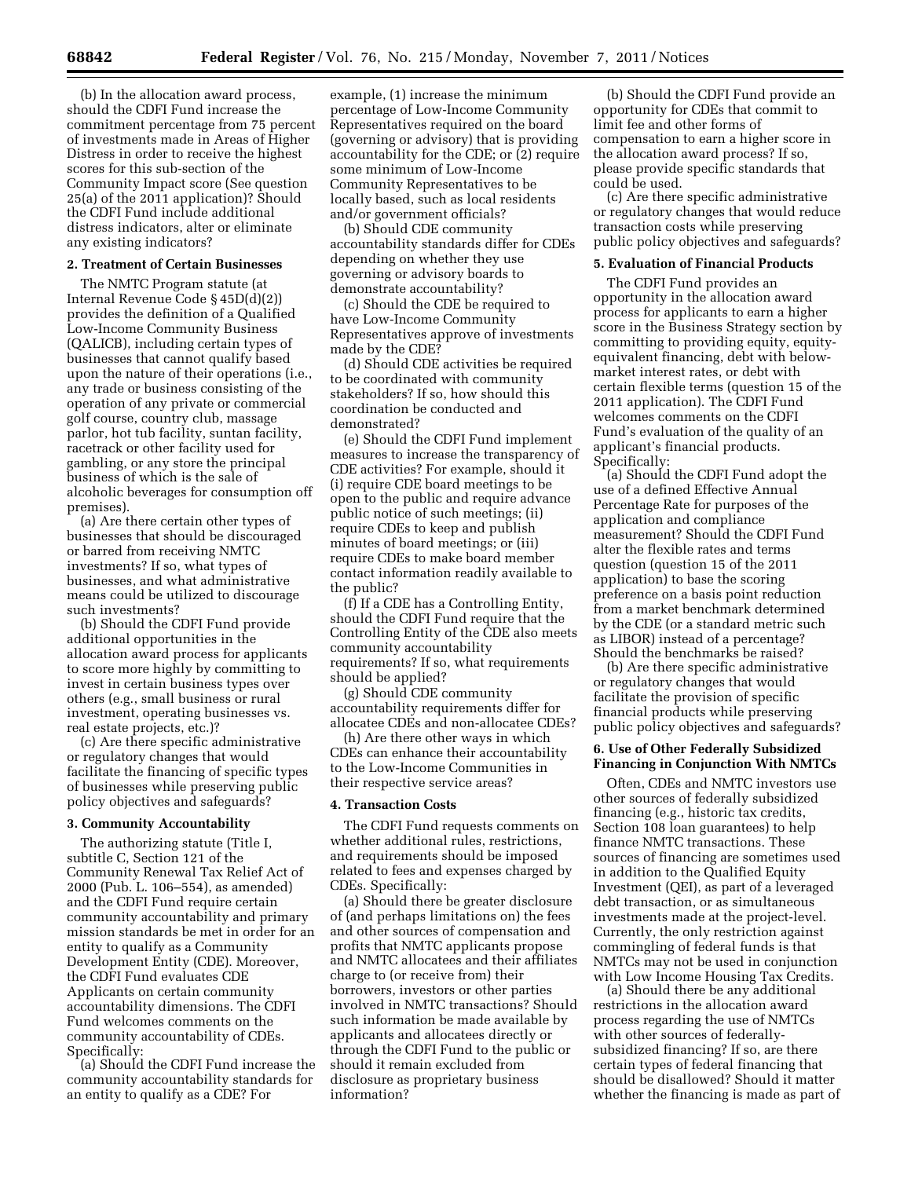(b) In the allocation award process, should the CDFI Fund increase the commitment percentage from 75 percent of investments made in Areas of Higher Distress in order to receive the highest scores for this sub-section of the Community Impact score (See question 25(a) of the 2011 application)? Should the CDFI Fund include additional distress indicators, alter or eliminate any existing indicators?

#### **2. Treatment of Certain Businesses**

The NMTC Program statute (at Internal Revenue Code § 45D(d)(2)) provides the definition of a Qualified Low-Income Community Business (QALICB), including certain types of businesses that cannot qualify based upon the nature of their operations (i.e., any trade or business consisting of the operation of any private or commercial golf course, country club, massage parlor, hot tub facility, suntan facility, racetrack or other facility used for gambling, or any store the principal business of which is the sale of alcoholic beverages for consumption off premises).

(a) Are there certain other types of businesses that should be discouraged or barred from receiving NMTC investments? If so, what types of businesses, and what administrative means could be utilized to discourage such investments?

(b) Should the CDFI Fund provide additional opportunities in the allocation award process for applicants to score more highly by committing to invest in certain business types over others (e.g., small business or rural investment, operating businesses vs. real estate projects, etc.)?

(c) Are there specific administrative or regulatory changes that would facilitate the financing of specific types of businesses while preserving public policy objectives and safeguards?

### **3. Community Accountability**

The authorizing statute (Title I, subtitle C, Section 121 of the Community Renewal Tax Relief Act of 2000 (Pub. L. 106–554), as amended) and the CDFI Fund require certain community accountability and primary mission standards be met in order for an entity to qualify as a Community Development Entity (CDE). Moreover, the CDFI Fund evaluates CDE Applicants on certain community accountability dimensions. The CDFI Fund welcomes comments on the community accountability of CDEs. Specifically:

(a) Should the CDFI Fund increase the community accountability standards for an entity to qualify as a CDE? For

example, (1) increase the minimum percentage of Low-Income Community Representatives required on the board (governing or advisory) that is providing accountability for the CDE; or (2) require some minimum of Low-Income Community Representatives to be locally based, such as local residents and/or government officials?

(b) Should CDE community accountability standards differ for CDEs depending on whether they use governing or advisory boards to demonstrate accountability?

(c) Should the CDE be required to have Low-Income Community Representatives approve of investments made by the CDE?

(d) Should CDE activities be required to be coordinated with community stakeholders? If so, how should this coordination be conducted and demonstrated?

(e) Should the CDFI Fund implement measures to increase the transparency of CDE activities? For example, should it (i) require CDE board meetings to be open to the public and require advance public notice of such meetings; (ii) require CDEs to keep and publish minutes of board meetings; or (iii) require CDEs to make board member contact information readily available to the public?

(f) If a CDE has a Controlling Entity, should the CDFI Fund require that the Controlling Entity of the CDE also meets community accountability requirements? If so, what requirements should be applied?

(g) Should CDE community accountability requirements differ for allocatee CDEs and non-allocatee CDEs?

(h) Are there other ways in which CDEs can enhance their accountability to the Low-Income Communities in their respective service areas?

### **4. Transaction Costs**

The CDFI Fund requests comments on whether additional rules, restrictions, and requirements should be imposed related to fees and expenses charged by CDEs. Specifically:

(a) Should there be greater disclosure of (and perhaps limitations on) the fees and other sources of compensation and profits that NMTC applicants propose and NMTC allocatees and their affiliates charge to (or receive from) their borrowers, investors or other parties involved in NMTC transactions? Should such information be made available by applicants and allocatees directly or through the CDFI Fund to the public or should it remain excluded from disclosure as proprietary business information?

(b) Should the CDFI Fund provide an opportunity for CDEs that commit to limit fee and other forms of compensation to earn a higher score in the allocation award process? If so, please provide specific standards that could be used.

(c) Are there specific administrative or regulatory changes that would reduce transaction costs while preserving public policy objectives and safeguards?

#### **5. Evaluation of Financial Products**

The CDFI Fund provides an opportunity in the allocation award process for applicants to earn a higher score in the Business Strategy section by committing to providing equity, equityequivalent financing, debt with belowmarket interest rates, or debt with certain flexible terms (question 15 of the 2011 application). The CDFI Fund welcomes comments on the CDFI Fund's evaluation of the quality of an applicant's financial products. Specifically:

(a) Should the CDFI Fund adopt the use of a defined Effective Annual Percentage Rate for purposes of the application and compliance measurement? Should the CDFI Fund alter the flexible rates and terms question (question 15 of the 2011 application) to base the scoring preference on a basis point reduction from a market benchmark determined by the CDE (or a standard metric such as LIBOR) instead of a percentage? Should the benchmarks be raised?

(b) Are there specific administrative or regulatory changes that would facilitate the provision of specific financial products while preserving public policy objectives and safeguards?

## **6. Use of Other Federally Subsidized Financing in Conjunction With NMTCs**

Often, CDEs and NMTC investors use other sources of federally subsidized financing (e.g., historic tax credits, Section 108 loan guarantees) to help finance NMTC transactions. These sources of financing are sometimes used in addition to the Qualified Equity Investment (QEI), as part of a leveraged debt transaction, or as simultaneous investments made at the project-level. Currently, the only restriction against commingling of federal funds is that NMTCs may not be used in conjunction with Low Income Housing Tax Credits.

(a) Should there be any additional restrictions in the allocation award process regarding the use of NMTCs with other sources of federallysubsidized financing? If so, are there certain types of federal financing that should be disallowed? Should it matter whether the financing is made as part of